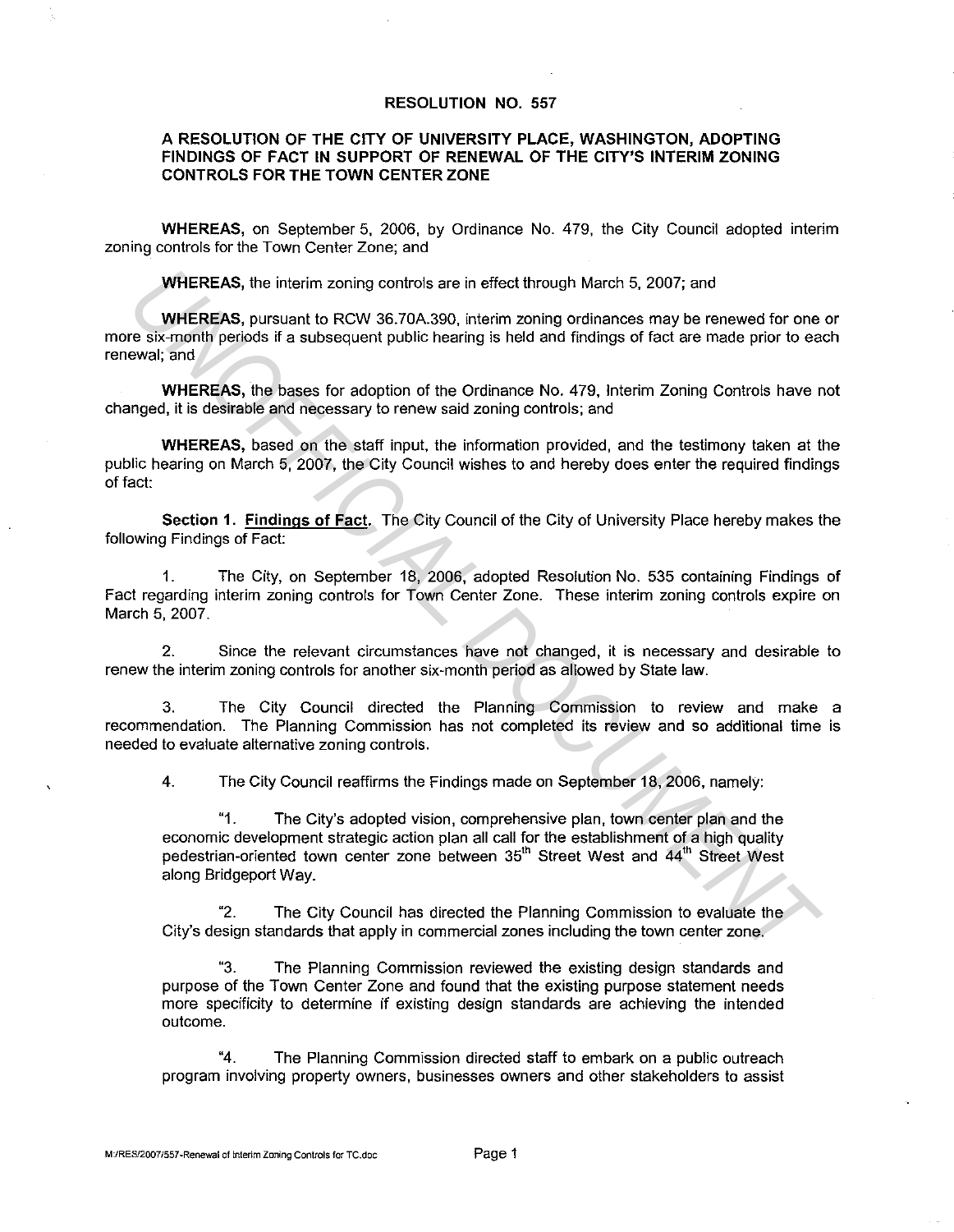## **RESOLUTION NO. 557**

## **A RESOLUTION OF THE CITY OF UNIVERSITY PLACE, WASHINGTON, ADOPTING FINDINGS OF FACT IN SUPPORT OF RENEWAL OF THE CITY'S INTERIM ZONING CONTROLS FOR THE TOWN CENTER ZONE**

**WHEREAS,** on September 5. 2006, by Ordinance No. 479, the City Council adopted interim zoning controls for the Town Center Zone; and

**WHEREAS,** the interim zoning controls are in effect through March 5. 2007; and

**WHEREAS,** pursuant to RCW 36.70A.390, interim zoning ordinances may be renewed for one or more six-month periods if a subsequent public hearing is held and findings of fact are made prior to each renewal; and

**WHEREAS,** the bases for adoption of the Ordinance No. 479, Interim Zoning Controls have not changed, it is desirable and necessary to renew said zoning controls; and

**WHEREAS,** based on the staff input. the information provided, and the testimony taken at the public hearing on March 5, 2007, the City Council wishes to and hereby does enter the required findings of fact:

**Section 1. Findings of Fact.** The City Council of the City of University Place hereby makes the following Findings of Fact:

1. The City, on September 18, 2006, adopted Resolution No. 535 containing Findings of Fact regarding interim zoning controls for Town Center Zone. These interim zoning controls expire on March 5, 2007.

2. Since the relevant circumstances have not changed, it is necessary and desirable to renew the interim zoning controls for another six-month period as allowed by State law.

3. The City Council directed the Planning Commission to review and make a recommendation. The Planning Commission has not completed its review and so additional time is needed to evaluate alternative zoning controls.

4. The City Council reaffirms the Findings made on September 18, 2006, namely:

"1. The City's adopted vision, comprehensive plan, town center plan and the economic development strategic action plan all call for the establishment of a high quality pedestrian-oriented town center zone between 35<sup>th</sup> Street West and 44<sup>th</sup> Street West along Bridgeport Way. WHEREAS, the interim zoning controls are in effect through March 5, 2007; and<br>
WHEREAS, pursuant to RCW 36.70A.390, interim zoning ordinances may be renewed for one<br>
YEREAS, pursuant to RCW 36.70A.390, interim zoning ordin

"2. The City Council has directed the Planning Commission to evaluate the City"s design standards that apply in commercial zones including the town center zone.

"3. The Planning Commission reviewed the existing design standards and purpose of the Town Center Zone and found that the existing purpose statement needs more specificity to determine if existing design standards are achieving the intended outcome.

"4. The Planning Commission directed staff to embark on a public outreach program involving property owners, businesses owners and other stakeholders to assist